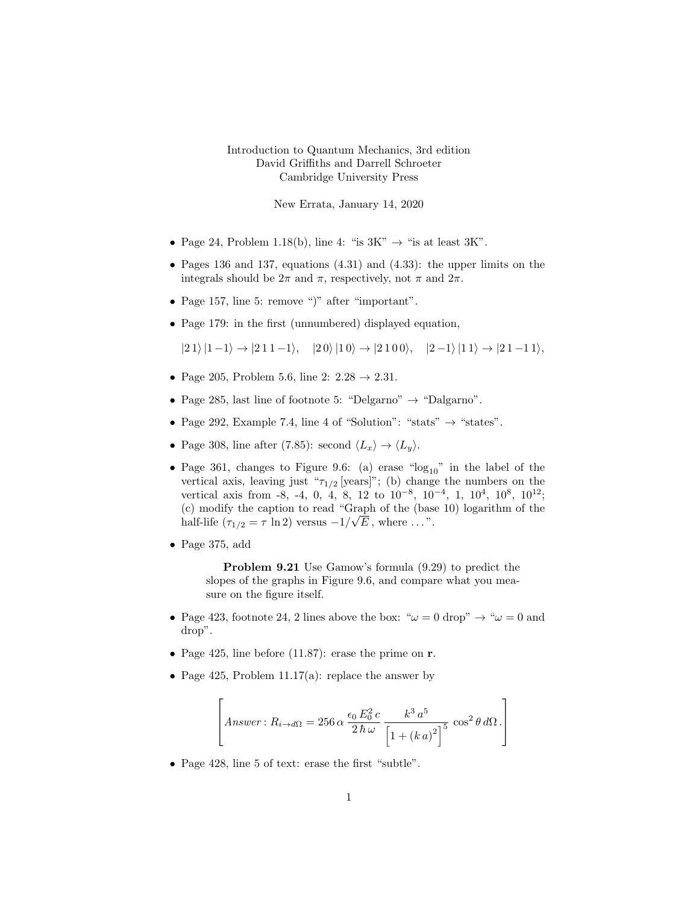## Introduction to Quantum Mechanics, 3rd edition David Griffiths and Darrell Schroeter Cambridge University Press

New Errata, January 14, 2020

- Page 24, Problem 1.18(b), line 4: "is  $3K'' \rightarrow$  "is at least  $3K''$ .
- Pages 136 and 137, equations (4.31) and (4.33): the upper limits on the integrals should be  $2\pi$  and  $\pi$ , respectively, not  $\pi$  and  $2\pi$ .
- Page 157, line 5: remove ")" after "important".
- Page 179: in the first (unnumbered) displayed equation,

 $|2 1\rangle |1 - 1\rangle \rightarrow |2 1 1 - 1\rangle, \quad |2 0\rangle |1 0\rangle \rightarrow |2 1 0 0\rangle, \quad |2 - 1\rangle |1 1\rangle \rightarrow |2 1 - 1 1\rangle,$ 

- Page 205, Problem 5.6, line 2:  $2.28 \rightarrow 2.31$ .
- Page 285, last line of footnote 5: "Delgarno"  $\rightarrow$  "Dalgarno".
- Page 292, Example 7.4, line 4 of "Solution": "stats"  $\rightarrow$  "states".
- Page 308, line after (7.85): second  $\langle L_x \rangle \rightarrow \langle L_y \rangle$ .
- Page 361, changes to Figure 9.6: (a) erase " $log_{10}$ " in the label of the vertical axis, leaving just " $\tau_{1/2}$  [years]"; (b) change the numbers on the vertical axis from -8, -4, 0, 4, 8, 12 to  $10^{-8}$ ,  $10^{-4}$ , 1,  $10^{4}$ ,  $10^{8}$ ,  $10^{12}$ ; (c) modify the caption to read "Graph of the (base 10) logarithm of the half-life  $(\tau_{1/2} = \tau \ln 2)$  versus  $-1/\sqrt{E}$ , where ...".
- Page 375, add

Problem 9.21 Use Gamow's formula (9.29) to predict the slopes of the graphs in Figure 9.6, and compare what you measure on the figure itself.

- Page 423, footnote 24, 2 lines above the box: " $\omega = 0$  drop"  $\rightarrow$  " $\omega = 0$  and drop".
- Page 425, line before  $(11.87)$ : erase the prime on **r**.
- Page 425, Problem 11.17(a): replace the answer by

$$
\[ \left[ Answer: R_{i \to d\Omega} = 256 \alpha \frac{\epsilon_0 E_0^2 c}{2 \hbar \omega} \frac{k^3 a^5}{\left[1 + (k \, a)^2\right]^5} \cos^2 \theta \, d\Omega \, . \right] \]
$$

• Page 428, line 5 of text: erase the first "subtle".